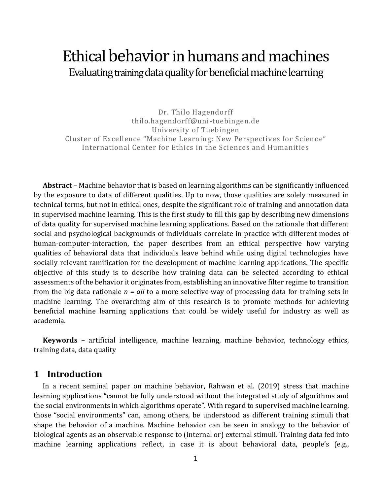# Ethical behavior in humans and machines Evaluating training data quality for beneficial machine learning

Dr. Thilo Hagendorff thilo.hagendorff@uni-tuebingen.de University of Tuebingen Cluster of Excellence "Machine Learning: New Perspectives for Scienc e" International Center for Ethics in the Sciences and Humanities

**Abstract** – Machine behavior that is based on learning algorithms can be significantly influenced by the exposure to data of different qualities. Up to now, those qualities are solely measured in technical terms, but not in ethical ones, despite the significant role of training and annotation data in supervised machine learning. This is the first study to fill this gap by describing new dimensions of data quality for supervised machine learning applications. Based on the rationale that different social and psychological backgrounds of individuals correlate in practice with different modes of human-computer-interaction, the paper describes from an ethical perspective how varying qualities of behavioral data that individuals leave behind while using digital technologies have socially relevant ramification for the development of machine learning applications. The specific objective of this study is to describe how training data can be selected according to ethical assessments of the behavior it originates from, establishing an innovative filter regime to transition from the big data rationale *n = all* to a more selective way of processing data for training sets in machine learning. The overarching aim of this research is to promote methods for achieving beneficial machine learning applications that could be widely useful for industry as well as academia.

**Keywords** – artificial intelligence, machine learning, machine behavior, technology ethics, training data, data quality

# **1 Introduction**

In a recent seminal paper on machine behavior, Rahwan et al. (2019) stress that machine learning applications "cannot be fully understood without the integrated study of algorithms and the social environments in which algorithms operate". With regard to supervised machine learning, those "social environments" can, among others, be understood as different training stimuli that shape the behavior of a machine. Machine behavior can be seen in analogy to the behavior of biological agents as an observable response to (internal or) external stimuli. Training data fed into machine learning applications reflect, in case it is about behavioral data, people's (e.g.,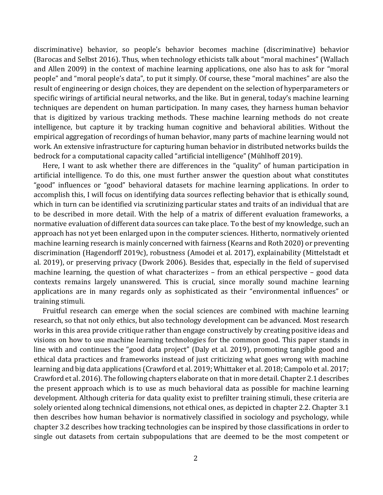discriminative) behavior, so people's behavior becomes machine (discriminative) behavior (Barocas and Selbst 2016). Thus, when technology ethicists talk about "moral machines" (Wallach and Allen 2009) in the context of machine learning applications, one also has to ask for "moral people" and "moral people's data", to put it simply. Of course, these "moral machines" are also the result of engineering or design choices, they are dependent on the selection of hyperparameters or specific wirings of artificial neural networks, and the like. But in general, today's machine learning techniques are dependent on human participation. In many cases, they harness human behavior that is digitized by various tracking methods. These machine learning methods do not create intelligence, but capture it by tracking human cognitive and behavioral abilities. Without the empirical aggregation of recordings of human behavior, many parts of machine learning would not work. An extensive infrastructure for capturing human behavior in distributed networks builds the bedrock for a computational capacity called "artificial intelligence" (Mühlhoff 2019).

Here, I want to ask whether there are differences in the "quality" of human participation in artificial intelligence. To do this, one must further answer the question about what constitutes "good" influences or "good" behavioral datasets for machine learning applications. In order to accomplish this, I will focus on identifying data sources reflecting behavior that is ethically sound, which in turn can be identified via scrutinizing particular states and traits of an individual that are to be described in more detail. With the help of a matrix of different evaluation frameworks, a normative evaluation of different data sources can take place. To the best of my knowledge, such an approach has not yet been enlarged upon in the computer sciences. Hitherto, normatively oriented machine learning research is mainly concerned with fairness (Kearns and Roth 2020) or preventing discrimination (Hagendorff 2019c), robustness (Amodei et al. 2017), explainability (Mittelstadt et al. 2019), or preserving privacy (Dwork 2006). Besides that, especially in the field of supervised machine learning, the question of what characterizes – from an ethical perspective – good data contexts remains largely unanswered. This is crucial, since morally sound machine learning applications are in many regards only as sophisticated as their "environmental influences" or training stimuli.

Fruitful research can emerge when the social sciences are combined with machine learning research, so that not only ethics, but also technology development can be advanced. Most research works in this area provide critique rather than engage constructively by creating positive ideas and visions on how to use machine learning technologies for the common good. This paper stands in line with and continues the "good data project" (Daly et al. 2019), promoting tangible good and ethical data practices and frameworks instead of just criticizing what goes wrong with machine learning and big data applications (Crawford et al. 2019; Whittaker et al. 2018; Campolo et al. 2017; Crawford et al. 2016). The following chapters elaborate on that in more detail. Chapter 2.1 describes the present approach which is to use as much behavioral data as possible for machine learning development. Although criteria for data quality exist to prefilter training stimuli, these criteria are solely oriented along technical dimensions, not ethical ones, as depicted in chapter 2.2. Chapter 3.1 then describes how human behavior is normatively classified in sociology and psychology, while chapter 3.2 describes how tracking technologies can be inspired by those classifications in order to single out datasets from certain subpopulations that are deemed to be the most competent or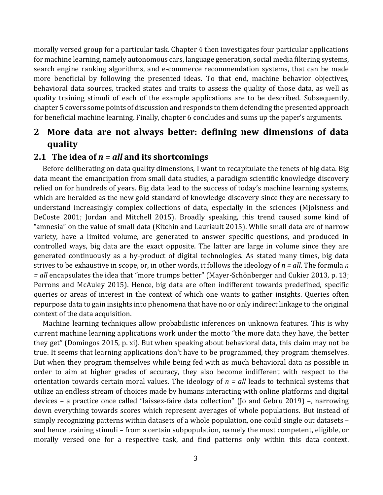morally versed group for a particular task. Chapter 4 then investigates four particular applications for machine learning, namely autonomous cars, language generation, social media filtering systems, search engine ranking algorithms, and e-commerce recommendation systems, that can be made more beneficial by following the presented ideas. To that end, machine behavior objectives, behavioral data sources, tracked states and traits to assess the quality of those data, as well as quality training stimuli of each of the example applications are to be described. Subsequently, chapter 5 covers some points of discussion and responds to them defending the presented approach for beneficial machine learning. Finally, chapter 6 concludes and sums up the paper's arguments.

# **2 More data are not always better: defining new dimensions of data quality**

### **2.1 The idea of** *n = all* **and its shortcomings**

Before deliberating on data quality dimensions, I want to recapitulate the tenets of big data. Big data meant the emancipation from small data studies, a paradigm scientific knowledge discovery relied on for hundreds of years. Big data lead to the success of today's machine learning systems, which are heralded as the new gold standard of knowledge discovery since they are necessary to understand increasingly complex collections of data, especially in the sciences (Mjolsness and DeCoste 2001; Jordan and Mitchell 2015). Broadly speaking, this trend caused some kind of "amnesia" on the value of small data (Kitchin and Lauriault 2015). While small data are of narrow variety, have a limited volume, are generated to answer specific questions, and produced in controlled ways, big data are the exact opposite. The latter are large in volume since they are generated continuously as a by-product of digital technologies. As stated many times, big data strives to be exhaustive in scope, or, in other words, it follows the ideology of *n = all*. The formula *n = all* encapsulates the idea that "more trumps better" (Mayer-Schönberger and Cukier 2013, p. 13; Perrons and McAuley 2015). Hence, big data are often indifferent towards predefined, specific queries or areas of interest in the context of which one wants to gather insights. Queries often repurpose data to gain insights into phenomena that have no or only indirect linkage to the original context of the data acquisition.

Machine learning techniques allow probabilistic inferences on unknown features. This is why current machine learning applications work under the motto "the more data they have, the better they get" (Domingos 2015, p. xi). But when speaking about behavioral data, this claim may not be true. It seems that learning applications don't have to be programmed, they program themselves. But when they program themselves while being fed with as much behavioral data as possible in order to aim at higher grades of accuracy, they also become indifferent with respect to the orientation towards certain moral values. The ideology of *n = all* leads to technical systems that utilize an endless stream of choices made by humans interacting with online platforms and digital devices – a practice once called "laissez-faire data collection" (Jo and Gebru 2019) –, narrowing down everything towards scores which represent averages of whole populations. But instead of simply recognizing patterns within datasets of a whole population, one could single out datasets – and hence training stimuli – from a certain subpopulation, namely the most competent, eligible, or morally versed one for a respective task, and find patterns only within this data context.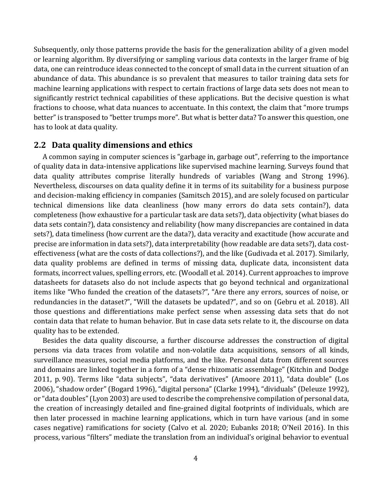Subsequently, only those patterns provide the basis for the generalization ability of a given model or learning algorithm. By diversifying or sampling various data contexts in the larger frame of big data, one can reintroduce ideas connected to the concept of small data in the current situation of an abundance of data. This abundance is so prevalent that measures to tailor training data sets for machine learning applications with respect to certain fractions of large data sets does not mean to significantly restrict technical capabilities of these applications. But the decisive question is what fractions to choose, what data nuances to accentuate. In this context, the claim that "more trumps better" is transposed to "better trumps more". But what is better data? To answer this question, one has to look at data quality.

# **2.2 Data quality dimensions and ethics**

A common saying in computer sciences is "garbage in, garbage out", referring to the importance of quality data in data-intensive applications like supervised machine learning. Surveys found that data quality attributes comprise literally hundreds of variables (Wang and Strong 1996). Nevertheless, discourses on data quality define it in terms of its suitability for a business purpose and decision-making efficiency in companies (Samitsch 2015), and are solely focused on particular technical dimensions like data cleanliness (how many errors do data sets contain?), data completeness (how exhaustive for a particular task are data sets?), data objectivity (what biases do data sets contain?), data consistency and reliability (how many discrepancies are contained in data sets?), data timeliness (how current are the data?), data veracity and exactitude (how accurate and precise are information in data sets?), data interpretability (how readable are data sets?), data costeffectiveness (what are the costs of data collections?), and the like (Gudivada et al. 2017). Similarly, data quality problems are defined in terms of missing data, duplicate data, inconsistent data formats, incorrect values, spelling errors, etc. (Woodall et al. 2014). Current approaches to improve datasheets for datasets also do not include aspects that go beyond technical and organizational items like "Who funded the creation of the datasets?", "Are there any errors, sources of noise, or redundancies in the dataset?", "Will the datasets be updated?", and so on (Gebru et al. 2018). All those questions and differentiations make perfect sense when assessing data sets that do not contain data that relate to human behavior. But in case data sets relate to it, the discourse on data quality has to be extended.

Besides the data quality discourse, a further discourse addresses the construction of digital persons via data traces from volatile and non-volatile data acquisitions, sensors of all kinds, surveillance measures, social media platforms, and the like. Personal data from different sources and domains are linked together in a form of a "dense rhizomatic assemblage" (Kitchin and Dodge 2011, p. 90). Terms like "data subjects", "data derivatives" (Amoore 2011), "data double" (Los 2006), "shadow order" (Bogard 1996), "digital persona" (Clarke 1994), "dividuals" (Deleuze 1992), or "data doubles" (Lyon 2003) are used to describe the comprehensive compilation of personal data, the creation of increasingly detailed and fine-grained digital footprints of individuals, which are then later processed in machine learning applications, which in turn have various (and in some cases negative) ramifications for society (Calvo et al. 2020; Eubanks 2018; O'Neil 2016). In this process, various "filters" mediate the translation from an individual's original behavior to eventual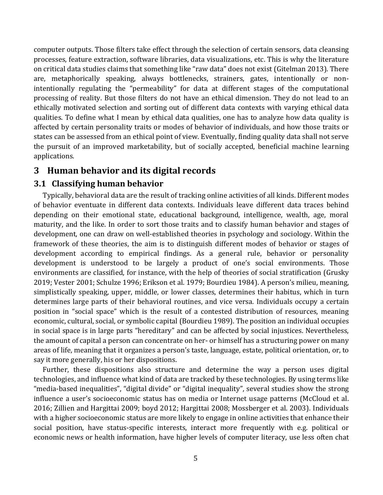computer outputs. Those filters take effect through the selection of certain sensors, data cleansing processes, feature extraction, software libraries, data visualizations, etc. This is why the literature on critical data studies claims that something like "raw data" does not exist (Gitelman 2013). There are, metaphorically speaking, always bottlenecks, strainers, gates, intentionally or nonintentionally regulating the "permeability" for data at different stages of the computational processing of reality. But those filters do not have an ethical dimension. They do not lead to an ethically motivated selection and sorting out of different data contexts with varying ethical data qualities. To define what I mean by ethical data qualities, one has to analyze how data quality is affected by certain personality traits or modes of behavior of individuals, and how those traits or states can be assessed from an ethical point of view. Eventually, finding quality data shall not serve the pursuit of an improved marketability, but of socially accepted, beneficial machine learning applications.

# **3 Human behavior and its digital records**

# **3.1 Classifying human behavior**

Typically, behavioral data are the result of tracking online activities of all kinds. Different modes of behavior eventuate in different data contexts. Individuals leave different data traces behind depending on their emotional state, educational background, intelligence, wealth, age, moral maturity, and the like. In order to sort those traits and to classify human behavior and stages of development, one can draw on well-established theories in psychology and sociology. Within the framework of these theories, the aim is to distinguish different modes of behavior or stages of development according to empirical findings. As a general rule, behavior or personality development is understood to be largely a product of one's social environments. Those environments are classified, for instance, with the help of theories of social stratification (Grusky 2019; Vester 2001; Schulze 1996; Erikson et al. 1979; Bourdieu 1984). A person's milieu, meaning, simplistically speaking, upper, middle, or lower classes, determines their habitus, which in turn determines large parts of their behavioral routines, and vice versa. Individuals occupy a certain position in "social space" which is the result of a contested distribution of resources, meaning economic, cultural, social, or symbolic capital (Bourdieu 1989). The position an individual occupies in social space is in large parts "hereditary" and can be affected by social injustices. Nevertheless, the amount of capital a person can concentrate on her- or himself has a structuring power on many areas of life, meaning that it organizes a person's taste, language, estate, political orientation, or, to say it more generally, his or her dispositions.

Further, these dispositions also structure and determine the way a person uses digital technologies, and influence what kind of data are tracked by these technologies. By using terms like "media-based inequalities", "digital divide" or "digital inequality", several studies show the strong influence a user's socioeconomic status has on media or Internet usage patterns (McCloud et al. 2016; Zillien and Hargittai 2009; boyd 2012; Hargittai 2008; Mossberger et al. 2003). Individuals with a higher socioeconomic status are more likely to engage in online activities that enhance their social position, have status-specific interests, interact more frequently with e.g. political or economic news or health information, have higher levels of computer literacy, use less often chat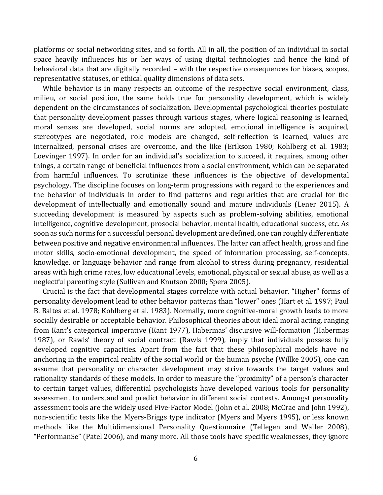platforms or social networking sites, and so forth. All in all, the position of an individual in social space heavily influences his or her ways of using digital technologies and hence the kind of behavioral data that are digitally recorded – with the respective consequences for biases, scopes, representative statuses, or ethical quality dimensions of data sets.

While behavior is in many respects an outcome of the respective social environment, class, milieu, or social position, the same holds true for personality development, which is widely dependent on the circumstances of socialization. Developmental psychological theories postulate that personality development passes through various stages, where logical reasoning is learned, moral senses are developed, social norms are adopted, emotional intelligence is acquired, stereotypes are negotiated, role models are changed, self-reflection is learned, values are internalized, personal crises are overcome, and the like (Erikson 1980; Kohlberg et al. 1983; Loevinger 1997). In order for an individual's socialization to succeed, it requires, among other things, a certain range of beneficial influences from a social environment, which can be separated from harmful influences. To scrutinize these influences is the objective of developmental psychology. The discipline focuses on long-term progressions with regard to the experiences and the behavior of individuals in order to find patterns and regularities that are crucial for the development of intellectually and emotionally sound and mature individuals (Lener 2015). A succeeding development is measured by aspects such as problem-solving abilities, emotional intelligence, cognitive development, prosocial behavior, mental health, educational success, etc. As soon as such norms for a successful personal development are defined, one can roughly differentiate between positive and negative environmental influences. The latter can affect health, gross and fine motor skills, socio-emotional development, the speed of information processing, self-concepts, knowledge, or language behavior and range from alcohol to stress during pregnancy, residential areas with high crime rates, low educational levels, emotional, physical or sexual abuse, as well as a neglectful parenting style (Sullivan and Knutson 2000; Spera 2005).

Crucial is the fact that developmental stages correlate with actual behavior. "Higher" forms of personality development lead to other behavior patterns than "lower" ones (Hart et al. 1997; Paul B. Baltes et al. 1978; Kohlberg et al. 1983). Normally, more cognitive-moral growth leads to more socially desirable or acceptable behavior. Philosophical theories about ideal moral acting, ranging from Kant's categorical imperative (Kant 1977), Habermas' discursive will-formation (Habermas 1987), or Rawls' theory of social contract (Rawls 1999), imply that individuals possess fully developed cognitive capacities. Apart from the fact that these philosophical models have no anchoring in the empirical reality of the social world or the human psyche (Willke 2005), one can assume that personality or character development may strive towards the target values and rationality standards of these models. In order to measure the "proximity" of a person's character to certain target values, differential psychologists have developed various tools for personality assessment to understand and predict behavior in different social contexts. Amongst personality assessment tools are the widely used Five-Factor Model (John et al. 2008; McCrae and John 1992), non-scientific tests like the Myers-Briggs type indicator (Myers and Myers 1995), or less known methods like the Multidimensional Personality Questionnaire (Tellegen and Waller 2008), "PerformanSe" (Patel 2006), and many more. All those tools have specific weaknesses, they ignore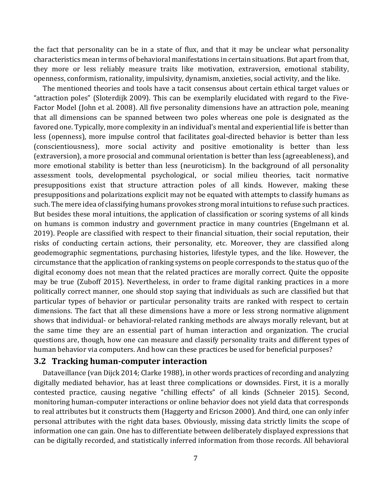the fact that personality can be in a state of flux, and that it may be unclear what personality characteristics mean in terms of behavioral manifestations in certain situations. But apart from that, they more or less reliably measure traits like motivation, extraversion, emotional stability, openness, conformism, rationality, impulsivity, dynamism, anxieties, social activity, and the like.

The mentioned theories and tools have a tacit consensus about certain ethical target values or "attraction poles" (Sloterdijk 2009). This can be exemplarily elucidated with regard to the Five-Factor Model (John et al. 2008). All five personality dimensions have an attraction pole, meaning that all dimensions can be spanned between two poles whereas one pole is designated as the favored one. Typically, more complexity in an individual's mental and experiential life is better than less (openness), more impulse control that facilitates goal-directed behavior is better than less (conscientiousness), more social activity and positive emotionality is better than less (extraversion), a more prosocial and communal orientation is better than less (agreeableness), and more emotional stability is better than less (neuroticism). In the background of all personality assessment tools, developmental psychological, or social milieu theories, tacit normative presuppositions exist that structure attraction poles of all kinds. However, making these presuppositions and polarizations explicit may not be equated with attempts to classify humans as such. The mere idea of classifying humans provokes strong moral intuitions to refuse such practices. But besides these moral intuitions, the application of classification or scoring systems of all kinds on humans is common industry and government practice in many countries (Engelmann et al. 2019). People are classified with respect to their financial situation, their social reputation, their risks of conducting certain actions, their personality, etc. Moreover, they are classified along geodemographic segmentations, purchasing histories, lifestyle types, and the like. However, the circumstance that the application of ranking systems on people corresponds to the status quo of the digital economy does not mean that the related practices are morally correct. Quite the opposite may be true (Zuboff 2015). Nevertheless, in order to frame digital ranking practices in a more politically correct manner, one should stop saying that individuals as such are classified but that particular types of behavior or particular personality traits are ranked with respect to certain dimensions. The fact that all these dimensions have a more or less strong normative alignment shows that individual- or behavioral-related ranking methods are always morally relevant, but at the same time they are an essential part of human interaction and organization. The crucial questions are, though, how one can measure and classify personality traits and different types of human behavior via computers. And how can these practices be used for beneficial purposes?

#### **3.2 Tracking human-computer interaction**

Dataveillance (van Dijck 2014; Clarke 1988), in other words practices of recording and analyzing digitally mediated behavior, has at least three complications or downsides. First, it is a morally contested practice, causing negative "chilling effects" of all kinds (Schneier 2015). Second, monitoring human-computer interactions or online behavior does not yield data that corresponds to real attributes but it constructs them (Haggerty and Ericson 2000). And third, one can only infer personal attributes with the right data bases. Obviously, missing data strictly limits the scope of information one can gain. One has to differentiate between deliberately displayed expressions that can be digitally recorded, and statistically inferred information from those records. All behavioral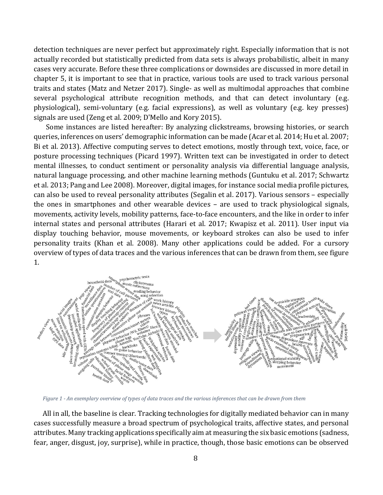detection techniques are never perfect but approximately right. Especially information that is not actually recorded but statistically predicted from data sets is always probabilistic, albeit in many cases very accurate. Before these three complications or downsides are discussed in more detail in chapter 5, it is important to see that in practice, various tools are used to track various personal traits and states (Matz and Netzer 2017). Single- as well as multimodal approaches that combine several psychological attribute recognition methods, and that can detect involuntary (e.g. physiological), semi-voluntary (e.g. facial expressions), as well as voluntary (e.g. key presses) signals are used (Zeng et al. 2009; D'Mello and Kory 2015).

Some instances are listed hereafter: By analyzing clickstreams, browsing histories, or search queries, inferences on users' demographic information can be made (Acar et al. 2014; Hu et al. 2007; Bi et al. 2013). Affective computing serves to detect emotions, mostly through text, voice, face, or posture processing techniques (Picard 1997). Written text can be investigated in order to detect mental illnesses, to conduct sentiment or personality analysis via differential language analysis, natural language processing, and other machine learning methods (Guntuku et al. 2017; Schwartz et al. 2013; Pang and Lee 2008). Moreover, digital images, for instance social media profile pictures, can also be used to reveal personality attributes (Segalin et al. 2017). Various sensors – especially the ones in smartphones and other wearable devices – are used to track physiological signals, movements, activity levels, mobility patterns, face-to-face encounters, and the like in order to infer internal states and personal attributes (Harari et al. 2017; Kwapisz et al. 2011). User input via display touching behavior, mouse movements, or keyboard strokes can also be used to infer personality traits (Khan et al. 2008). Many other applications could be added. For a cursory overview of types of data traces and the various inferences that can be drawn from them, see figure 1.



*Figure 1 - An exemplary overview of types of data traces and the various inferences that can be drawn from them*

All in all, the baseline is clear. Tracking technologies for digitally mediated behavior can in many cases successfully measure a broad spectrum of psychological traits, affective states, and personal attributes. Many tracking applications specifically aim at measuring the six basic emotions (sadness, fear, anger, disgust, joy, surprise), while in practice, though, those basic emotions can be observed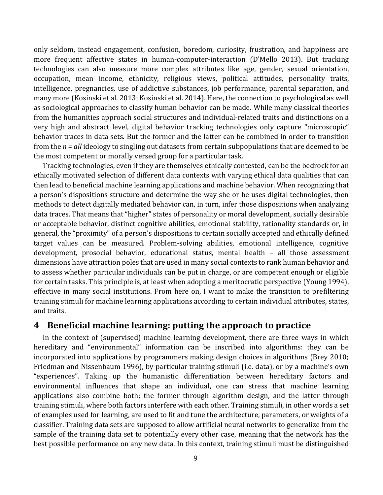only seldom, instead engagement, confusion, boredom, curiosity, frustration, and happiness are more frequent affective states in human-computer-interaction (D'Mello 2013). But tracking technologies can also measure more complex attributes like age, gender, sexual orientation, occupation, mean income, ethnicity, religious views, political attitudes, personality traits, intelligence, pregnancies, use of addictive substances, job performance, parental separation, and many more (Kosinski et al. 2013; Kosinski et al. 2014). Here, the connection to psychological as well as sociological approaches to classify human behavior can be made. While many classical theories from the humanities approach social structures and individual-related traits and distinctions on a very high and abstract level, digital behavior tracking technologies only capture "microscopic" behavior traces in data sets. But the former and the latter can be combined in order to transition from the *n = all* ideology to singling out datasets from certain subpopulations that are deemed to be the most competent or morally versed group for a particular task.

Tracking technologies, even if they are themselves ethically contested, can be the bedrock for an ethically motivated selection of different data contexts with varying ethical data qualities that can then lead to beneficial machine learning applications and machine behavior. When recognizing that a person's dispositions structure and determine the way she or he uses digital technologies, then methods to detect digitally mediated behavior can, in turn, infer those dispositions when analyzing data traces. That means that "higher" states of personality or moral development, socially desirable or acceptable behavior, distinct cognitive abilities, emotional stability, rationality standards or, in general, the "proximity" of a person's dispositions to certain socially accepted and ethically defined target values can be measured. Problem-solving abilities, emotional intelligence, cognitive development, prosocial behavior, educational status, mental health – all those assessment dimensions have attraction poles that are used in many social contexts to rank human behavior and to assess whether particular individuals can be put in charge, or are competent enough or eligible for certain tasks. This principle is, at least when adopting a meritocratic perspective (Young 1994), effective in many social institutions. From here on, I want to make the transition to prefiltering training stimuli for machine learning applications according to certain individual attributes, states, and traits.

# **4 Beneficial machine learning: putting the approach to practice**

In the context of (supervised) machine learning development, there are three ways in which hereditary and "environmental" information can be inscribed into algorithms: they can be incorporated into applications by programmers making design choices in algorithms (Brey 2010; Friedman and Nissenbaum 1996), by particular training stimuli (i.e. data), or by a machine's own "experiences". Taking up the humanistic differentiation between hereditary factors and environmental influences that shape an individual, one can stress that machine learning applications also combine both; the former through algorithm design, and the latter through training stimuli, where both factors interfere with each other. Training stimuli, in other words a set of examples used for learning, are used to fit and tune the architecture, parameters, or weights of a classifier. Training data sets are supposed to allow artificial neural networks to generalize from the sample of the training data set to potentially every other case, meaning that the network has the best possible performance on any new data. In this context, training stimuli must be distinguished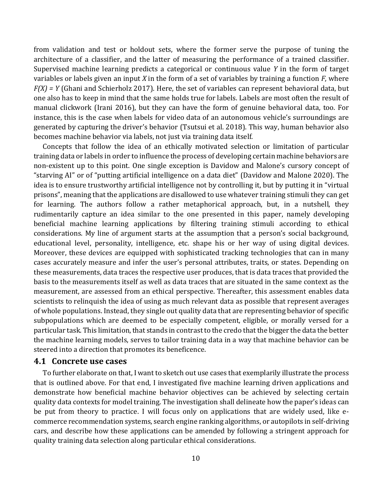from validation and test or holdout sets, where the former serve the purpose of tuning the architecture of a classifier, and the latter of measuring the performance of a trained classifier. Supervised machine learning predicts a categorical or continuous value *Y* in the form of target variables or labels given an input *X* in the form of a set of variables by training a function *F*, where *F(X) = Y* (Ghani and Schierholz 2017). Here, the set of variables can represent behavioral data, but one also has to keep in mind that the same holds true for labels. Labels are most often the result of manual clickwork (Irani 2016), but they can have the form of genuine behavioral data, too. For instance, this is the case when labels for video data of an autonomous vehicle's surroundings are generated by capturing the driver's behavior (Tsutsui et al. 2018). This way, human behavior also becomes machine behavior via labels, not just via training data itself.

Concepts that follow the idea of an ethically motivated selection or limitation of particular training data or labels in order to influence the process of developing certain machine behaviors are non-existent up to this point. One single exception is Davidow and Malone's cursory concept of "starving AI" or of "putting artificial intelligence on a data diet" (Davidow and Malone 2020). The idea is to ensure trustworthy artificial intelligence not by controlling it, but by putting it in "virtual prisons", meaning that the applications are disallowed to use whatever training stimuli they can get for learning. The authors follow a rather metaphorical approach, but, in a nutshell, they rudimentarily capture an idea similar to the one presented in this paper, namely developing beneficial machine learning applications by filtering training stimuli according to ethical considerations. My line of argument starts at the assumption that a person's social background, educational level, personality, intelligence, etc. shape his or her way of using digital devices. Moreover, these devices are equipped with sophisticated tracking technologies that can in many cases accurately measure and infer the user's personal attributes, traits, or states. Depending on these measurements, data traces the respective user produces, that is data traces that provided the basis to the measurements itself as well as data traces that are situated in the same context as the measurement, are assessed from an ethical perspective. Thereafter, this assessment enables data scientists to relinquish the idea of using as much relevant data as possible that represent averages of whole populations. Instead, they single out quality data that are representing behavior of specific subpopulations which are deemed to be especially competent, eligible, or morally versed for a particular task. This limitation, that stands in contrast to the credo that the bigger the data the better the machine learning models, serves to tailor training data in a way that machine behavior can be steered into a direction that promotes its beneficence.

#### **4.1 Concrete use cases**

To further elaborate on that, I want to sketch out use cases that exemplarily illustrate the process that is outlined above. For that end, I investigated five machine learning driven applications and demonstrate how beneficial machine behavior objectives can be achieved by selecting certain quality data contexts for model training. The investigation shall delineate how the paper's ideas can be put from theory to practice. I will focus only on applications that are widely used, like ecommerce recommendation systems, search engine ranking algorithms, or autopilots in self-driving cars, and describe how these applications can be amended by following a stringent approach for quality training data selection along particular ethical considerations.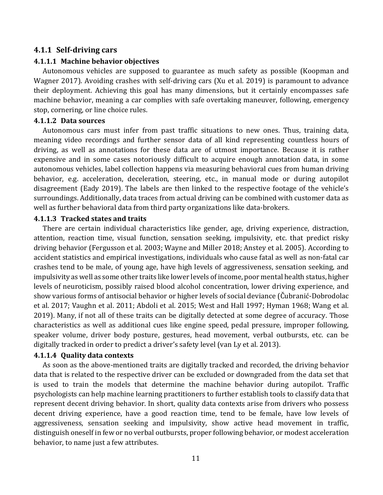#### **4.1.1 Self-driving cars**

#### **4.1.1.1 Machine behavior objectives**

Autonomous vehicles are supposed to guarantee as much safety as possible (Koopman and Wagner 2017). Avoiding crashes with self-driving cars (Xu et al. 2019) is paramount to advance their deployment. Achieving this goal has many dimensions, but it certainly encompasses safe machine behavior, meaning a car complies with safe overtaking maneuver, following, emergency stop, cornering, or line choice rules.

#### **4.1.1.2 Data sources**

Autonomous cars must infer from past traffic situations to new ones. Thus, training data, meaning video recordings and further sensor data of all kind representing countless hours of driving, as well as annotations for these data are of utmost importance. Because it is rather expensive and in some cases notoriously difficult to acquire enough annotation data, in some autonomous vehicles, label collection happens via measuring behavioral cues from human driving behavior, e.g. acceleration, deceleration, steering, etc., in manual mode or during autopilot disagreement (Eady 2019). The labels are then linked to the respective footage of the vehicle's surroundings. Additionally, data traces from actual driving can be combined with customer data as well as further behavioral data from third party organizations like data-brokers.

#### **4.1.1.3 Tracked states and traits**

There are certain individual characteristics like gender, age, driving experience, distraction, attention, reaction time, visual function, sensation seeking, impulsivity, etc. that predict risky driving behavior (Fergusson et al. 2003; Wayne and Miller 2018; Anstey et al. 2005). According to accident statistics and empirical investigations, individuals who cause fatal as well as non-fatal car crashes tend to be male, of young age, have high levels of aggressiveness, sensation seeking, and impulsivity as well as some other traits like lower levels of income, poor mental health status, higher levels of neuroticism, possibly raised blood alcohol concentration, lower driving experience, and show various forms of antisocial behavior or higher levels of social deviance (Čubranić-Dobrodolac et al. 2017; Vaughn et al. 2011; Abdoli et al. 2015; West and Hall 1997; Hyman 1968; Wang et al. 2019). Many, if not all of these traits can be digitally detected at some degree of accuracy. Those characteristics as well as additional cues like engine speed, pedal pressure, improper following, speaker volume, driver body posture, gestures, head movement, verbal outbursts, etc. can be digitally tracked in order to predict a driver's safety level (van Ly et al. 2013).

#### **4.1.1.4 Quality data contexts**

As soon as the above-mentioned traits are digitally tracked and recorded, the driving behavior data that is related to the respective driver can be excluded or downgraded from the data set that is used to train the models that determine the machine behavior during autopilot. Traffic psychologists can help machine learning practitioners to further establish tools to classify data that represent decent driving behavior. In short, quality data contexts arise from drivers who possess decent driving experience, have a good reaction time, tend to be female, have low levels of aggressiveness, sensation seeking and impulsivity, show active head movement in traffic, distinguish oneself in few or no verbal outbursts, proper following behavior, or modest acceleration behavior, to name just a few attributes.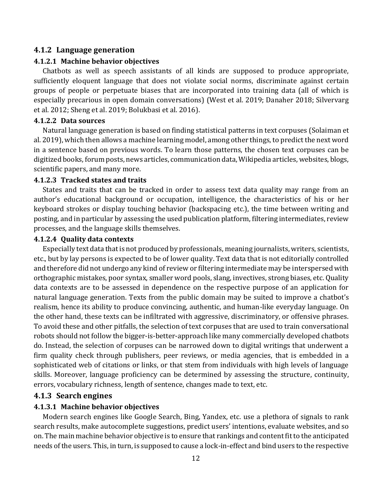#### **4.1.2 Language generation**

#### **4.1.2.1 Machine behavior objectives**

Chatbots as well as speech assistants of all kinds are supposed to produce appropriate, sufficiently eloquent language that does not violate social norms, discriminate against certain groups of people or perpetuate biases that are incorporated into training data (all of which is especially precarious in open domain conversations) (West et al. 2019; Danaher 2018; Silvervarg et al. 2012; Sheng et al. 2019; Bolukbasi et al. 2016).

#### **4.1.2.2 Data sources**

Natural language generation is based on finding statistical patterns in text corpuses (Solaiman et al. 2019), which then allows a machine learning model, among other things, to predict the next word in a sentence based on previous words. To learn those patterns, the chosen text corpuses can be digitized books, forum posts, news articles, communication data, Wikipedia articles, websites, blogs, scientific papers, and many more.

#### **4.1.2.3 Tracked states and traits**

States and traits that can be tracked in order to assess text data quality may range from an author's educational background or occupation, intelligence, the characteristics of his or her keyboard strokes or display touching behavior (backspacing etc.), the time between writing and posting, and in particular by assessing the used publication platform, filtering intermediates, review processes, and the language skills themselves.

#### **4.1.2.4 Quality data contexts**

Especially text data that is not produced by professionals, meaning journalists, writers, scientists, etc., but by lay persons is expected to be of lower quality. Text data that is not editorially controlled and therefore did not undergo any kind of review or filtering intermediate may be interspersed with orthographic mistakes, poor syntax, smaller word pools, slang, invectives, strong biases, etc. Quality data contexts are to be assessed in dependence on the respective purpose of an application for natural language generation. Texts from the public domain may be suited to improve a chatbot's realism, hence its ability to produce convincing, authentic, and human-like everyday language. On the other hand, these texts can be infiltrated with aggressive, discriminatory, or offensive phrases. To avoid these and other pitfalls, the selection of text corpuses that are used to train conversational robots should not follow the bigger-is-better-approach like many commercially developed chatbots do. Instead, the selection of corpuses can be narrowed down to digital writings that underwent a firm quality check through publishers, peer reviews, or media agencies, that is embedded in a sophisticated web of citations or links, or that stem from individuals with high levels of language skills. Moreover, language proficiency can be determined by assessing the structure, continuity, errors, vocabulary richness, length of sentence, changes made to text, etc.

#### **4.1.3 Search engines**

#### **4.1.3.1 Machine behavior objectives**

Modern search engines like Google Search, Bing, Yandex, etc. use a plethora of signals to rank search results, make autocomplete suggestions, predict users' intentions, evaluate websites, and so on. The main machine behavior objective is to ensure that rankings and content fit to the anticipated needs of the users. This, in turn, is supposed to cause a lock-in-effect and bind users to the respective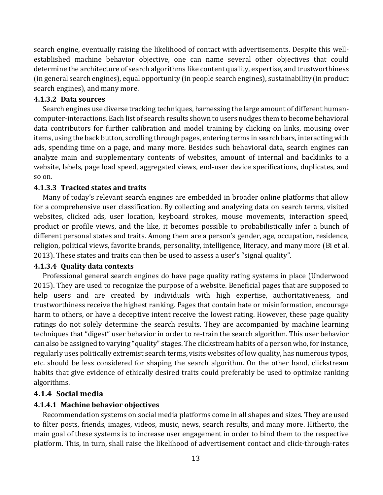search engine, eventually raising the likelihood of contact with advertisements. Despite this wellestablished machine behavior objective, one can name several other objectives that could determine the architecture of search algorithms like content quality, expertise, and trustworthiness (in general search engines), equal opportunity (in people search engines), sustainability (in product search engines), and many more.

#### **4.1.3.2 Data sources**

Search engines use diverse tracking techniques, harnessing the large amount of different humancomputer-interactions. Each list of search results shown to users nudges them to become behavioral data contributors for further calibration and model training by clicking on links, mousing over items, using the back button, scrolling through pages, entering terms in search bars, interacting with ads, spending time on a page, and many more. Besides such behavioral data, search engines can analyze main and supplementary contents of websites, amount of internal and backlinks to a website, labels, page load speed, aggregated views, end-user device specifications, duplicates, and so on.

#### **4.1.3.3 Tracked states and traits**

Many of today's relevant search engines are embedded in broader online platforms that allow for a comprehensive user classification. By collecting and analyzing data on search terms, visited websites, clicked ads, user location, keyboard strokes, mouse movements, interaction speed, product or profile views, and the like, it becomes possible to probabilistically infer a bunch of different personal states and traits. Among them are a person's gender, age, occupation, residence, religion, political views, favorite brands, personality, intelligence, literacy, and many more (Bi et al. 2013). These states and traits can then be used to assess a user's "signal quality".

#### **4.1.3.4 Quality data contexts**

Professional general search engines do have page quality rating systems in place (Underwood 2015). They are used to recognize the purpose of a website. Beneficial pages that are supposed to help users and are created by individuals with high expertise, authoritativeness, and trustworthiness receive the highest ranking. Pages that contain hate or misinformation, encourage harm to others, or have a deceptive intent receive the lowest rating. However, these page quality ratings do not solely determine the search results. They are accompanied by machine learning techniques that "digest" user behavior in order to re-train the search algorithm. This user behavior can also be assigned to varying "quality" stages. The clickstream habits of a person who, for instance, regularly uses politically extremist search terms, visits websites of low quality, has numerous typos, etc. should be less considered for shaping the search algorithm. On the other hand, clickstream habits that give evidence of ethically desired traits could preferably be used to optimize ranking algorithms.

#### **4.1.4 Social media**

#### **4.1.4.1 Machine behavior objectives**

Recommendation systems on social media platforms come in all shapes and sizes. They are used to filter posts, friends, images, videos, music, news, search results, and many more. Hitherto, the main goal of these systems is to increase user engagement in order to bind them to the respective platform. This, in turn, shall raise the likelihood of advertisement contact and click-through-rates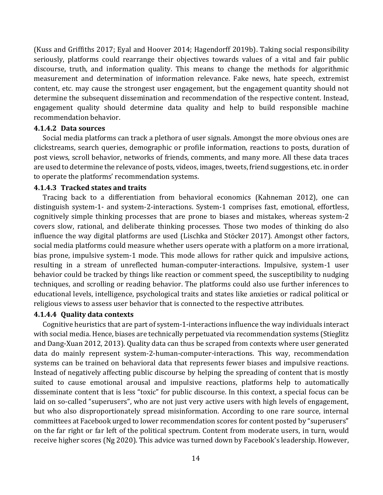(Kuss and Griffiths 2017; Eyal and Hoover 2014; Hagendorff 2019b). Taking social responsibility seriously, platforms could rearrange their objectives towards values of a vital and fair public discourse, truth, and information quality. This means to change the methods for algorithmic measurement and determination of information relevance. Fake news, hate speech, extremist content, etc. may cause the strongest user engagement, but the engagement quantity should not determine the subsequent dissemination and recommendation of the respective content. Instead, engagement quality should determine data quality and help to build responsible machine recommendation behavior.

#### **4.1.4.2 Data sources**

Social media platforms can track a plethora of user signals. Amongst the more obvious ones are clickstreams, search queries, demographic or profile information, reactions to posts, duration of post views, scroll behavior, networks of friends, comments, and many more. All these data traces are used to determine the relevance of posts, videos, images, tweets, friend suggestions, etc. in order to operate the platforms' recommendation systems.

#### **4.1.4.3 Tracked states and traits**

Tracing back to a differentiation from behavioral economics (Kahneman 2012), one can distinguish system-1- and system-2-interactions. System-1 comprises fast, emotional, effortless, cognitively simple thinking processes that are prone to biases and mistakes, whereas system-2 covers slow, rational, and deliberate thinking processes. Those two modes of thinking do also influence the way digital platforms are used (Lischka and Stöcker 2017). Amongst other factors, social media platforms could measure whether users operate with a platform on a more irrational, bias prone, impulsive system-1 mode. This mode allows for rather quick and impulsive actions, resulting in a stream of unreflected human-computer-interactions. Impulsive, system-1 user behavior could be tracked by things like reaction or comment speed, the susceptibility to nudging techniques, and scrolling or reading behavior. The platforms could also use further inferences to educational levels, intelligence, psychological traits and states like anxieties or radical political or religious views to assess user behavior that is connected to the respective attributes.

#### **4.1.4.4 Quality data contexts**

Cognitive heuristics that are part of system-1-interactions influence the way individuals interact with social media. Hence, biases are technically perpetuated via recommendation systems (Stieglitz and Dang-Xuan 2012, 2013). Quality data can thus be scraped from contexts where user generated data do mainly represent system-2-human-computer-interactions. This way, recommendation systems can be trained on behavioral data that represents fewer biases and impulsive reactions. Instead of negatively affecting public discourse by helping the spreading of content that is mostly suited to cause emotional arousal and impulsive reactions, platforms help to automatically disseminate content that is less "toxic" for public discourse. In this context, a special focus can be laid on so-called "superusers", who are not just very active users with high levels of engagement, but who also disproportionately spread misinformation. According to one rare source, internal committees at Facebook urged to lower recommendation scores for content posted by "superusers" on the far right or far left of the political spectrum. Content from moderate users, in turn, would receive higher scores (Ng 2020). This advice was turned down by Facebook's leadership. However,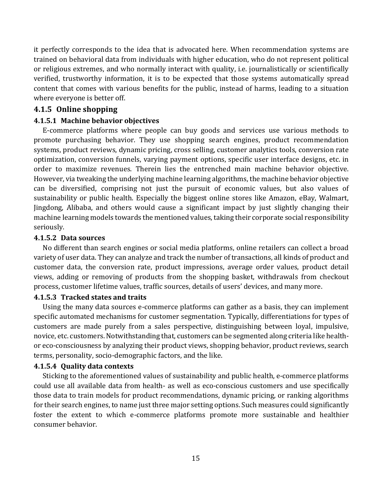it perfectly corresponds to the idea that is advocated here. When recommendation systems are trained on behavioral data from individuals with higher education, who do not represent political or religious extremes, and who normally interact with quality, i.e. journalistically or scientifically verified, trustworthy information, it is to be expected that those systems automatically spread content that comes with various benefits for the public, instead of harms, leading to a situation where everyone is better off.

#### **4.1.5 Online shopping**

#### **4.1.5.1 Machine behavior objectives**

E-commerce platforms where people can buy goods and services use various methods to promote purchasing behavior. They use shopping search engines, product recommendation systems, product reviews, dynamic pricing, cross selling, customer analytics tools, conversion rate optimization, conversion funnels, varying payment options, specific user interface designs, etc. in order to maximize revenues. Therein lies the entrenched main machine behavior objective. However, via tweaking the underlying machine learning algorithms, the machine behavior objective can be diversified, comprising not just the pursuit of economic values, but also values of sustainability or public health. Especially the biggest online stores like Amazon, eBay, Walmart, Jingdong, Alibaba, and others would cause a significant impact by just slightly changing their machine learning models towards the mentioned values, taking their corporate social responsibility seriously.

#### **4.1.5.2 Data sources**

No different than search engines or social media platforms, online retailers can collect a broad variety of user data. They can analyze and track the number of transactions, all kinds of product and customer data, the conversion rate, product impressions, average order values, product detail views, adding or removing of products from the shopping basket, withdrawals from checkout process, customer lifetime values, traffic sources, details of users' devices, and many more.

#### **4.1.5.3 Tracked states and traits**

Using the many data sources e-commerce platforms can gather as a basis, they can implement specific automated mechanisms for customer segmentation. Typically, differentiations for types of customers are made purely from a sales perspective, distinguishing between loyal, impulsive, novice, etc. customers. Notwithstanding that, customers can be segmented along criteria like healthor eco-consciousness by analyzing their product views, shopping behavior, product reviews, search terms, personality, socio-demographic factors, and the like.

#### **4.1.5.4 Quality data contexts**

Sticking to the aforementioned values of sustainability and public health, e-commerce platforms could use all available data from health- as well as eco-conscious customers and use specifically those data to train models for product recommendations, dynamic pricing, or ranking algorithms for their search engines, to name just three major setting options. Such measures could significantly foster the extent to which e-commerce platforms promote more sustainable and healthier consumer behavior.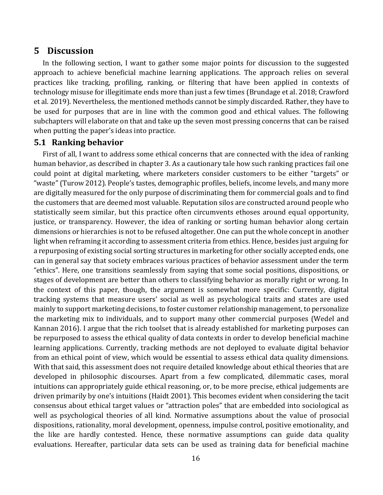## **5 Discussion**

In the following section, I want to gather some major points for discussion to the suggested approach to achieve beneficial machine learning applications. The approach relies on several practices like tracking, profiling, ranking, or filtering that have been applied in contexts of technology misuse for illegitimate ends more than just a few times (Brundage et al. 2018; Crawford et al. 2019). Nevertheless, the mentioned methods cannot be simply discarded. Rather, they have to be used for purposes that are in line with the common good and ethical values. The following subchapters will elaborate on that and take up the seven most pressing concerns that can be raised when putting the paper's ideas into practice.

#### **5.1 Ranking behavior**

First of all, I want to address some ethical concerns that are connected with the idea of ranking human behavior, as described in chapter 3. As a cautionary tale how such ranking practices fail one could point at digital marketing, where marketers consider customers to be either "targets" or "waste" (Turow 2012). People's tastes, demographic profiles, beliefs, income levels, and many more are digitally measured for the only purpose of discriminating them for commercial goals and to find the customers that are deemed most valuable. Reputation silos are constructed around people who statistically seem similar, but this practice often circumvents ethoses around equal opportunity, justice, or transparency. However, the idea of ranking or sorting human behavior along certain dimensions or hierarchies is not to be refused altogether. One can put the whole concept in another light when reframing it according to assessment criteria from ethics. Hence, besides just arguing for a repurposing of existing social sorting structures in marketing for other socially accepted ends, one can in general say that society embraces various practices of behavior assessment under the term "ethics". Here, one transitions seamlessly from saying that some social positions, dispositions, or stages of development are better than others to classifying behavior as morally right or wrong. In the context of this paper, though, the argument is somewhat more specific: Currently, digital tracking systems that measure users' social as well as psychological traits and states are used mainly to support marketing decisions, to foster customer relationship management, to personalize the marketing mix to individuals, and to support many other commercial purposes (Wedel and Kannan 2016). I argue that the rich toolset that is already established for marketing purposes can be repurposed to assess the ethical quality of data contexts in order to develop beneficial machine learning applications. Currently, tracking methods are not deployed to evaluate digital behavior from an ethical point of view, which would be essential to assess ethical data quality dimensions. With that said, this assessment does not require detailed knowledge about ethical theories that are developed in philosophic discourses. Apart from a few complicated, dilemmatic cases, moral intuitions can appropriately guide ethical reasoning, or, to be more precise, ethical judgements are driven primarily by one's intuitions (Haidt 2001). This becomes evident when considering the tacit consensus about ethical target values or "attraction poles" that are embedded into sociological as well as psychological theories of all kind. Normative assumptions about the value of prosocial dispositions, rationality, moral development, openness, impulse control, positive emotionality, and the like are hardly contested. Hence, these normative assumptions can guide data quality evaluations. Hereafter, particular data sets can be used as training data for beneficial machine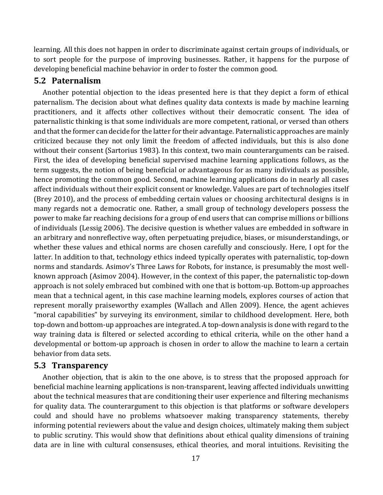learning. All this does not happen in order to discriminate against certain groups of individuals, or to sort people for the purpose of improving businesses. Rather, it happens for the purpose of developing beneficial machine behavior in order to foster the common good.

### **5.2 Paternalism**

Another potential objection to the ideas presented here is that they depict a form of ethical paternalism. The decision about what defines quality data contexts is made by machine learning practitioners, and it affects other collectives without their democratic consent. The idea of paternalistic thinking is that some individuals are more competent, rational, or versed than others and that the former can decide for the latter for their advantage. Paternalistic approaches are mainly criticized because they not only limit the freedom of affected individuals, but this is also done without their consent (Sartorius 1983). In this context, two main counterarguments can be raised. First, the idea of developing beneficial supervised machine learning applications follows, as the term suggests, the notion of being beneficial or advantageous for as many individuals as possible, hence promoting the common good. Second, machine learning applications do in nearly all cases affect individuals without their explicit consent or knowledge. Values are part of technologies itself (Brey 2010), and the process of embedding certain values or choosing architectural designs is in many regards not a democratic one. Rather, a small group of technology developers possess the power to make far reaching decisions for a group of end users that can comprise millions or billions of individuals (Lessig 2006). The decisive question is whether values are embedded in software in an arbitrary and nonreflective way, often perpetuating prejudice, biases, or misunderstandings, or whether these values and ethical norms are chosen carefully and consciously. Here, I opt for the latter. In addition to that, technology ethics indeed typically operates with paternalistic, top-down norms and standards. Asimov's Three Laws for Robots, for instance, is presumably the most wellknown approach (Asimov 2004). However, in the context of this paper, the paternalistic top-down approach is not solely embraced but combined with one that is bottom-up. Bottom-up approaches mean that a technical agent, in this case machine learning models, explores courses of action that represent morally praiseworthy examples (Wallach and Allen 2009). Hence, the agent achieves "moral capabilities" by surveying its environment, similar to childhood development. Here, both top-down and bottom-up approaches are integrated. A top-down analysis is done with regard to the way training data is filtered or selected according to ethical criteria, while on the other hand a developmental or bottom-up approach is chosen in order to allow the machine to learn a certain behavior from data sets.

#### **5.3 Transparency**

Another objection, that is akin to the one above, is to stress that the proposed approach for beneficial machine learning applications is non-transparent, leaving affected individuals unwitting about the technical measures that are conditioning their user experience and filtering mechanisms for quality data. The counterargument to this objection is that platforms or software developers could and should have no problems whatsoever making transparency statements, thereby informing potential reviewers about the value and design choices, ultimately making them subject to public scrutiny. This would show that definitions about ethical quality dimensions of training data are in line with cultural consensuses, ethical theories, and moral intuitions. Revisiting the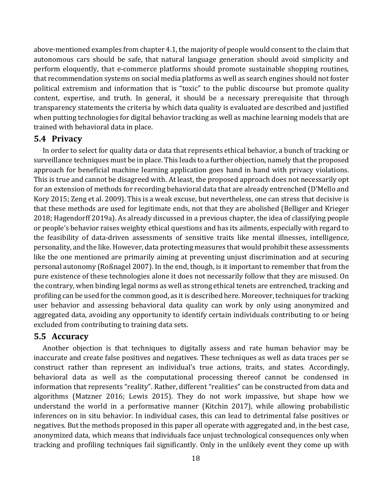above-mentioned examples from chapter 4.1, the majority of people would consent to the claim that autonomous cars should be safe, that natural language generation should avoid simplicity and perform eloquently, that e-commerce platforms should promote sustainable shopping routines, that recommendation systems on social media platforms as well as search engines should not foster political extremism and information that is "toxic" to the public discourse but promote quality content, expertise, and truth. In general, it should be a necessary prerequisite that through transparency statements the criteria by which data quality is evaluated are described and justified when putting technologies for digital behavior tracking as well as machine learning models that are trained with behavioral data in place.

#### **5.4 Privacy**

In order to select for quality data or data that represents ethical behavior, a bunch of tracking or surveillance techniques must be in place. This leads to a further objection, namely that the proposed approach for beneficial machine learning application goes hand in hand with privacy violations. This is true and cannot be disagreed with. At least, the proposed approach does not necessarily opt for an extension of methods for recording behavioral data that are already entrenched (D'Mello and Kory 2015; Zeng et al. 2009). This is a weak excuse, but nevertheless, one can stress that decisive is that these methods are used for legitimate ends, not that they are abolished (Belliger and Krieger 2018; Hagendorff 2019a). As already discussed in a previous chapter, the idea of classifying people or people's behavior raises weighty ethical questions and has its ailments, especially with regard to the feasibility of data-driven assessments of sensitive traits like mental illnesses, intelligence, personality, and the like. However, data protecting measures that would prohibit these assessments like the one mentioned are primarily aiming at preventing unjust discrimination and at securing personal autonomy (Roßnagel 2007). In the end, though, is it important to remember that from the pure existence of these technologies alone it does not necessarily follow that they are misused. On the contrary, when binding legal norms as well as strong ethical tenets are entrenched, tracking and profiling can be used for the common good, as it is described here. Moreover, techniques for tracking user behavior and assessing behavioral data quality can work by only using anonymized and aggregated data, avoiding any opportunity to identify certain individuals contributing to or being excluded from contributing to training data sets.

#### **5.5 Accuracy**

Another objection is that techniques to digitally assess and rate human behavior may be inaccurate and create false positives and negatives. These techniques as well as data traces per se construct rather than represent an individual's true actions, traits, and states. Accordingly, behavioral data as well as the computational processing thereof cannot be condensed in information that represents "reality". Rather, different "realities" can be constructed from data and algorithms (Matzner 2016; Lewis 2015). They do not work impassive, but shape how we understand the world in a performative manner (Kitchin 2017), while allowing probabilistic inferences on in situ behavior. In individual cases, this can lead to detrimental false positives or negatives. But the methods proposed in this paper all operate with aggregated and, in the best case, anonymized data, which means that individuals face unjust technological consequences only when tracking and profiling techniques fail significantly. Only in the unlikely event they come up with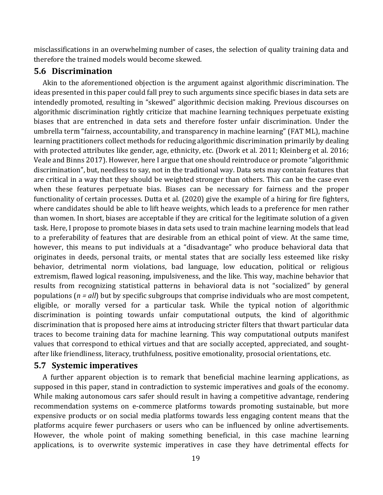misclassifications in an overwhelming number of cases, the selection of quality training data and therefore the trained models would become skewed.

### **5.6 Discrimination**

Akin to the aforementioned objection is the argument against algorithmic discrimination. The ideas presented in this paper could fall prey to such arguments since specific biases in data sets are intendedly promoted, resulting in "skewed" algorithmic decision making. Previous discourses on algorithmic discrimination rightly criticize that machine learning techniques perpetuate existing biases that are entrenched in data sets and therefore foster unfair discrimination. Under the umbrella term "fairness, accountability, and transparency in machine learning" (FAT ML), machine learning practitioners collect methods for reducing algorithmic discrimination primarily by dealing with protected attributes like gender, age, ethnicity, etc. (Dwork et al. 2011; Kleinberg et al. 2016; Veale and Binns 2017). However, here I argue that one should reintroduce or promote "algorithmic discrimination", but, needless to say, not in the traditional way. Data sets may contain features that are critical in a way that they should be weighted stronger than others. This can be the case even when these features perpetuate bias. Biases can be necessary for fairness and the proper functionality of certain processes. Dutta et al. (2020) give the example of a hiring for fire fighters, where candidates should be able to lift heave weights, which leads to a preference for men rather than women. In short, biases are acceptable if they are critical for the legitimate solution of a given task. Here, I propose to promote biases in data sets used to train machine learning models that lead to a preferability of features that are desirable from an ethical point of view. At the same time, however, this means to put individuals at a "disadvantage" who produce behavioral data that originates in deeds, personal traits, or mental states that are socially less esteemed like risky behavior, detrimental norm violations, bad language, low education, political or religious extremism, flawed logical reasoning, impulsiveness, and the like. This way, machine behavior that results from recognizing statistical patterns in behavioral data is not "socialized" by general populations (*n = all*) but by specific subgroups that comprise individuals who are most competent, eligible, or morally versed for a particular task. While the typical notion of algorithmic discrimination is pointing towards unfair computational outputs, the kind of algorithmic discrimination that is proposed here aims at introducing stricter filters that thwart particular data traces to become training data for machine learning. This way computational outputs manifest values that correspond to ethical virtues and that are socially accepted, appreciated, and soughtafter like friendliness, literacy, truthfulness, positive emotionality, prosocial orientations, etc.

#### **5.7 Systemic imperatives**

A further apparent objection is to remark that beneficial machine learning applications, as supposed in this paper, stand in contradiction to systemic imperatives and goals of the economy. While making autonomous cars safer should result in having a competitive advantage, rendering recommendation systems on e-commerce platforms towards promoting sustainable, but more expensive products or on social media platforms towards less engaging content means that the platforms acquire fewer purchasers or users who can be influenced by online advertisements. However, the whole point of making something beneficial, in this case machine learning applications, is to overwrite systemic imperatives in case they have detrimental effects for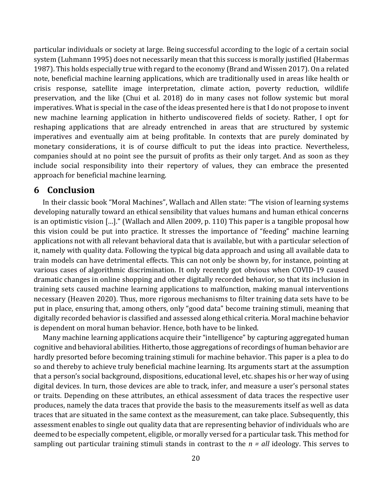particular individuals or society at large. Being successful according to the logic of a certain social system (Luhmann 1995) does not necessarily mean that this success is morally justified (Habermas 1987). This holds especially true with regard to the economy (Brand and Wissen 2017). On a related note, beneficial machine learning applications, which are traditionally used in areas like health or crisis response, satellite image interpretation, climate action, poverty reduction, wildlife preservation, and the like (Chui et al. 2018) do in many cases not follow systemic but moral imperatives. What is special in the case of the ideas presented here is that I do not propose to invent new machine learning application in hitherto undiscovered fields of society. Rather, I opt for reshaping applications that are already entrenched in areas that are structured by systemic imperatives and eventually aim at being profitable. In contexts that are purely dominated by monetary considerations, it is of course difficult to put the ideas into practice. Nevertheless, companies should at no point see the pursuit of profits as their only target. And as soon as they include social responsibility into their repertory of values, they can embrace the presented approach for beneficial machine learning.

## **6 Conclusion**

In their classic book "Moral Machines", Wallach and Allen state: "The vision of learning systems developing naturally toward an ethical sensibility that values humans and human ethical concerns is an optimistic vision […]." (Wallach and Allen 2009, p. 110) This paper is a tangible proposal how this vision could be put into practice. It stresses the importance of "feeding" machine learning applications not with all relevant behavioral data that is available, but with a particular selection of it, namely with quality data. Following the typical big data approach and using all available data to train models can have detrimental effects. This can not only be shown by, for instance, pointing at various cases of algorithmic discrimination. It only recently got obvious when COVID-19 caused dramatic changes in online shopping and other digitally recorded behavior, so that its inclusion in training sets caused machine learning applications to malfunction, making manual interventions necessary (Heaven 2020). Thus, more rigorous mechanisms to filter training data sets have to be put in place, ensuring that, among others, only "good data" become training stimuli, meaning that digitally recorded behavior is classified and assessed along ethical criteria. Moral machine behavior is dependent on moral human behavior. Hence, both have to be linked.

Many machine learning applications acquire their "intelligence" by capturing aggregated human cognitive and behavioral abilities. Hitherto, those aggregations of recordings of human behavior are hardly presorted before becoming training stimuli for machine behavior. This paper is a plea to do so and thereby to achieve truly beneficial machine learning. Its arguments start at the assumption that a person's social background, dispositions, educational level, etc. shapes his or her way of using digital devices. In turn, those devices are able to track, infer, and measure a user's personal states or traits. Depending on these attributes, an ethical assessment of data traces the respective user produces, namely the data traces that provide the basis to the measurements itself as well as data traces that are situated in the same context as the measurement, can take place. Subsequently, this assessment enables to single out quality data that are representing behavior of individuals who are deemed to be especially competent, eligible, or morally versed for a particular task. This method for sampling out particular training stimuli stands in contrast to the *n = all* ideology. This serves to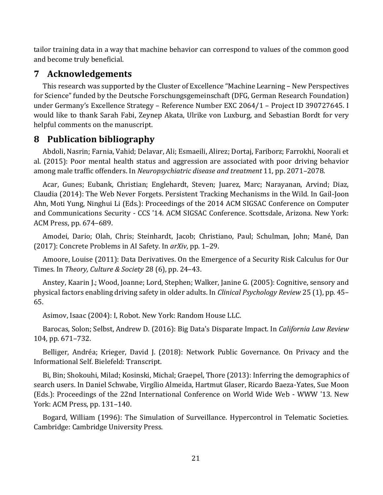tailor training data in a way that machine behavior can correspond to values of the common good and become truly beneficial.

# **7 Acknowledgements**

This research was supported by the Cluster of Excellence "Machine Learning – New Perspectives for Science" funded by the Deutsche Forschungsgemeinschaft (DFG, German Research Foundation) under Germany's Excellence Strategy – Reference Number EXC 2064/1 – Project ID 390727645. I would like to thank Sarah Fabi, Zeynep Akata, Ulrike von Luxburg, and Sebastian Bordt for very helpful comments on the manuscript.

# **8 Publication bibliography**

Abdoli, Nasrin; Farnia, Vahid; Delavar, Ali; Esmaeili, Alirez; Dortaj, Fariborz; Farrokhi, Noorali et al. (2015): Poor mental health status and aggression are associated with poor driving behavior among male traffic offenders. In *Neuropsychiatric disease and treatment* 11, pp. 2071–2078.

Acar, Gunes; Eubank, Christian; Englehardt, Steven; Juarez, Marc; Narayanan, Arvind; Diaz, Claudia (2014): The Web Never Forgets. Persistent Tracking Mechanisms in the Wild. In Gail-Joon Ahn, Moti Yung, Ninghui Li (Eds.): Proceedings of the 2014 ACM SIGSAC Conference on Computer and Communications Security - CCS '14. ACM SIGSAC Conference. Scottsdale, Arizona. New York: ACM Press, pp. 674–689.

Amodei, Dario; Olah, Chris; Steinhardt, Jacob; Christiano, Paul; Schulman, John; Mané, Dan (2017): Concrete Problems in AI Safety. In *arXiv*, pp. 1–29.

Amoore, Louise (2011): Data Derivatives. On the Emergence of a Security Risk Calculus for Our Times. In *Theory, Culture & Society* 28 (6), pp. 24–43.

Anstey, Kaarin J.; Wood, Joanne; Lord, Stephen; Walker, Janine G. (2005): Cognitive, sensory and physical factors enabling driving safety in older adults. In *Clinical Psychology Review* 25 (1), pp. 45– 65.

Asimov, Isaac (2004): I, Robot. New York: Random House LLC.

Barocas, Solon; Selbst, Andrew D. (2016): Big Data's Disparate Impact. In *California Law Review*  104, pp. 671–732.

Belliger, Andréa; Krieger, David J. (2018): Network Public Governance. On Privacy and the Informational Self. Bielefeld: Transcript.

Bi, Bin; Shokouhi, Milad; Kosinski, Michal; Graepel, Thore (2013): Inferring the demographics of search users. In Daniel Schwabe, Virgílio Almeida, Hartmut Glaser, Ricardo Baeza-Yates, Sue Moon (Eds.): Proceedings of the 22nd International Conference on World Wide Web - WWW '13. New York: ACM Press, pp. 131–140.

Bogard, William (1996): The Simulation of Surveillance. Hypercontrol in Telematic Societies. Cambridge: Cambridge University Press.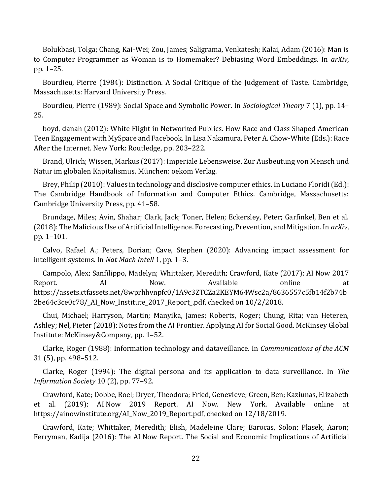Bolukbasi, Tolga; Chang, Kai-Wei; Zou, James; Saligrama, Venkatesh; Kalai, Adam (2016): Man is to Computer Programmer as Woman is to Homemaker? Debiasing Word Embeddings. In *arXiv*, pp. 1–25.

Bourdieu, Pierre (1984): Distinction. A Social Critique of the Judgement of Taste. Cambridge, Massachusetts: Harvard University Press.

Bourdieu, Pierre (1989): Social Space and Symbolic Power. In *Sociological Theory* 7 (1), pp. 14– 25.

boyd, danah (2012): White Flight in Networked Publics. How Race and Class Shaped American Teen Engagement with MySpace and Facebook. In Lisa Nakamura, Peter A. Chow-White (Eds.): Race After the Internet. New York: Routledge, pp. 203–222.

Brand, Ulrich; Wissen, Markus (2017): Imperiale Lebensweise. Zur Ausbeutung von Mensch und Natur im globalen Kapitalismus. München: oekom Verlag.

Brey, Philip (2010): Values in technology and disclosive computer ethics. In Luciano Floridi (Ed.): The Cambridge Handbook of Information and Computer Ethics. Cambridge, Massachusetts: Cambridge University Press, pp. 41–58.

Brundage, Miles; Avin, Shahar; Clark, Jack; Toner, Helen; Eckersley, Peter; Garfinkel, Ben et al. (2018): The Malicious Use of Artificial Intelligence. Forecasting, Prevention, and Mitigation. In *arXiv*, pp. 1–101.

Calvo, Rafael A.; Peters, Dorian; Cave, Stephen (2020): Advancing impact assessment for intelligent systems. In *Nat Mach Intell* 1, pp. 1–3.

Campolo, Alex; Sanfilippo, Madelyn; Whittaker, Meredith; Crawford, Kate (2017): AI Now 2017 Report. AI Now. Available online at https://assets.ctfassets.net/8wprhhvnpfc0/1A9c3ZTCZa2KEYM64Wsc2a/8636557c5fb14f2b74b 2be64c3ce0c78/\_AI\_Now\_Institute\_2017\_Report\_.pdf, checked on 10/2/2018.

Chui, Michael; Harryson, Martin; Manyika, James; Roberts, Roger; Chung, Rita; van Heteren, Ashley; Nel, Pieter (2018): Notes from the AI Frontier. Applying AI for Social Good. McKinsey Global Institute: McKinsey&Company, pp. 1–52.

Clarke, Roger (1988): Information technology and dataveillance. In *Communications of the ACM*  31 (5), pp. 498–512.

Clarke, Roger (1994): The digital persona and its application to data surveillance. In *The Information Society* 10 (2), pp. 77–92.

Crawford, Kate; Dobbe, Roel; Dryer, Theodora; Fried, Genevieve; Green, Ben; Kaziunas, Elizabeth et al. (2019): AI Now 2019 Report. AI Now. New York. Available online at https://ainowinstitute.org/AI\_Now\_2019\_Report.pdf, checked on 12/18/2019.

Crawford, Kate; Whittaker, Meredith; Elish, Madeleine Clare; Barocas, Solon; Plasek, Aaron; Ferryman, Kadija (2016): The AI Now Report. The Social and Economic Implications of Artificial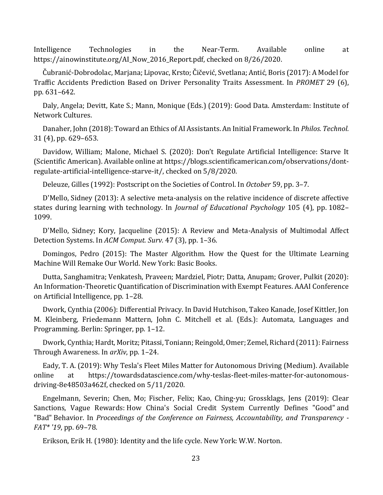Intelligence Technologies in the Near-Term. Available online at https://ainowinstitute.org/AI\_Now\_2016\_Report.pdf, checked on 8/26/2020.

Čubranić-Dobrodolac, Marjana; Lipovac, Krsto; Čičević, Svetlana; Antić, Boris (2017): A Model for Traffic Accidents Prediction Based on Driver Personality Traits Assessment. In *PROMET* 29 (6), pp. 631–642.

Daly, Angela; Devitt, Kate S.; Mann, Monique (Eds.) (2019): Good Data. Amsterdam: Institute of Network Cultures.

Danaher, John (2018): Toward an Ethics of AI Assistants. An Initial Framework. In *Philos. Technol.*  31 (4), pp. 629–653.

Davidow, William; Malone, Michael S. (2020): Don't Regulate Artificial Intelligence: Starve It (Scientific American). Available online at https://blogs.scientificamerican.com/observations/dontregulate-artificial-intelligence-starve-it/, checked on 5/8/2020.

Deleuze, Gilles (1992): Postscript on the Societies of Control. In *October* 59, pp. 3–7.

D'Mello, Sidney (2013): A selective meta-analysis on the relative incidence of discrete affective states during learning with technology. In *Journal of Educational Psychology* 105 (4), pp. 1082– 1099.

D'Mello, Sidney; Kory, Jacqueline (2015): A Review and Meta-Analysis of Multimodal Affect Detection Systems. In *ACM Comput. Surv.* 47 (3), pp. 1–36.

Domingos, Pedro (2015): The Master Algorithm. How the Quest for the Ultimate Learning Machine Will Remake Our World. New York: Basic Books.

Dutta, Sanghamitra; Venkatesh, Praveen; Mardziel, Piotr; Datta, Anupam; Grover, Pulkit (2020): An Information-Theoretic Quantification of Discrimination with Exempt Features. AAAI Conference on Artificial Intelligence, pp. 1–28.

Dwork, Cynthia (2006): Differential Privacy. In David Hutchison, Takeo Kanade, Josef Kittler, Jon M. Kleinberg, Friedemann Mattern, John C. Mitchell et al. (Eds.): Automata, Languages and Programming. Berlin: Springer, pp. 1–12.

Dwork, Cynthia; Hardt, Moritz; Pitassi, Toniann; Reingold, Omer; Zemel, Richard (2011): Fairness Through Awareness. In *arXiv*, pp. 1–24.

Eady, T. A. (2019): Why Tesla's Fleet Miles Matter for Autonomous Driving (Medium). Available online at https://towardsdatascience.com/why-teslas-fleet-miles-matter-for-autonomousdriving-8e48503a462f, checked on 5/11/2020.

Engelmann, Severin; Chen, Mo; Fischer, Felix; Kao, Ching-yu; Grossklags, Jens (2019): Clear Sanctions, Vague Rewards: How China's Social Credit System Currently Defines "Good" and "Bad" Behavior. In *Proceedings of the Conference on Fairness, Accountability, and Transparency - FAT\* '19*, pp. 69–78.

Erikson, Erik H. (1980): Identity and the life cycle. New York: W.W. Norton.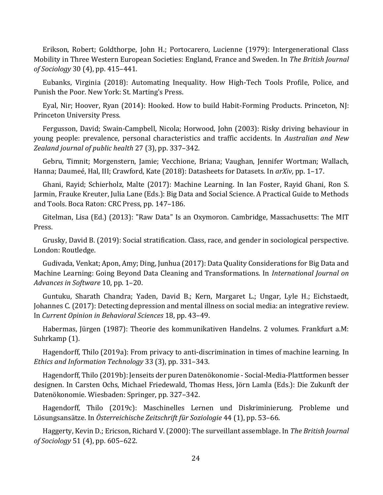Erikson, Robert; Goldthorpe, John H.; Portocarero, Lucienne (1979): Intergenerational Class Mobility in Three Western European Societies: England, France and Sweden. In *The British Journal of Sociology* 30 (4), pp. 415–441.

Eubanks, Virginia (2018): Automating Inequality. How High-Tech Tools Profile, Police, and Punish the Poor. New York: St. Marting's Press.

Eyal, Nir; Hoover, Ryan (2014): Hooked. How to build Habit-Forming Products. Princeton, NJ: Princeton University Press.

Fergusson, David; Swain-Campbell, Nicola; Horwood, John (2003): Risky driving behaviour in young people: prevalence, personal characteristics and traffic accidents. In *Australian and New Zealand journal of public health* 27 (3), pp. 337–342.

Gebru, Timnit; Morgenstern, Jamie; Vecchione, Briana; Vaughan, Jennifer Wortman; Wallach, Hanna; Daumeé, Hal, III; Crawford, Kate (2018): Datasheets for Datasets. In *arXiv*, pp. 1–17.

Ghani, Rayid; Schierholz, Malte (2017): Machine Learning. In Ian Foster, Rayid Ghani, Ron S. Jarmin, Frauke Kreuter, Julia Lane (Eds.): Big Data and Social Science. A Practical Guide to Methods and Tools. Boca Raton: CRC Press, pp. 147–186.

Gitelman, Lisa (Ed.) (2013): "Raw Data" Is an Oxymoron. Cambridge, Massachusetts: The MIT Press.

Grusky, David B. (2019): Social stratification. Class, race, and gender in sociological perspective. London: Routledge.

Gudivada, Venkat; Apon, Amy; Ding, Junhua (2017): Data Quality Considerations for Big Data and Machine Learning: Going Beyond Data Cleaning and Transformations. In *International Journal on Advances in Software* 10, pp. 1–20.

Guntuku, Sharath Chandra; Yaden, David B.; Kern, Margaret L.; Ungar, Lyle H.; Eichstaedt, Johannes C. (2017): Detecting depression and mental illness on social media: an integrative review. In *Current Opinion in Behavioral Sciences* 18, pp. 43–49.

Habermas, Jürgen (1987): Theorie des kommunikativen Handelns. 2 volumes. Frankfurt a.M: Suhrkamp (1).

Hagendorff, Thilo (2019a): From privacy to anti-discrimination in times of machine learning. In *Ethics and Information Technology* 33 (3), pp. 331–343.

Hagendorff, Thilo (2019b): Jenseits der puren Datenökonomie -Social-Media-Plattformen besser designen. In Carsten Ochs, Michael Friedewald, Thomas Hess, Jörn Lamla (Eds.): Die Zukunft der Datenökonomie. Wiesbaden: Springer, pp. 327–342.

Hagendorff, Thilo (2019c): Maschinelles Lernen und Diskriminierung. Probleme und Lösungsansätze. In *Österreichische Zeitschrift für Soziologie* 44 (1), pp. 53–66.

Haggerty, Kevin D.; Ericson, Richard V. (2000): The surveillant assemblage. In *The British Journal of Sociology* 51 (4), pp. 605–622.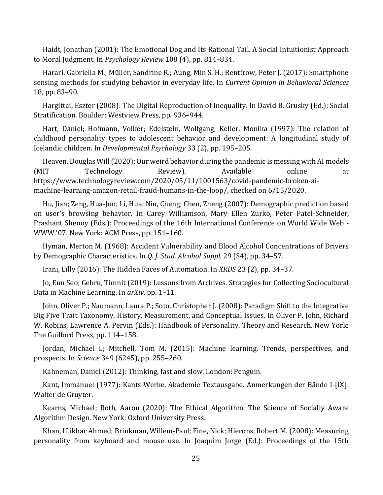Haidt, Jonathan (2001): The Emotional Dog and Its Rational Tail. A Social Intuitionist Approach to Moral Judgment. In *Psychology Review* 108 (4), pp. 814–834.

Harari, Gabriella M.; Müller, Sandrine R.; Aung, Min S. H.; Rentfrow, Peter J. (2017): Smartphone sensing methods for studying behavior in everyday life. In *Current Opinion in Behavioral Sciences*  18, pp. 83–90.

Hargittai, Eszter (2008): The Digital Reproduction of Inequality. In David B. Grusky (Ed.): Social Stratification. Boulder: Westview Press, pp. 936–944.

Hart, Daniel; Hofmann, Volker; Edelstein, Wolfgang; Keller, Monika (1997): The relation of childhood personality types to adolescent behavior and development: A longitudinal study of Icelandic children. In *Developmental Psychology* 33 (2), pp. 195–205.

Heaven, Douglas Will (2020): Our weird behavior during the pandemic is messing with AI models (MIT Technology Review). Available online at https://www.technologyreview.com/2020/05/11/1001563/covid-pandemic-broken-aimachine-learning-amazon-retail-fraud-humans-in-the-loop/, checked on 6/15/2020.

Hu, Jian; Zeng, Hua-Jun; Li, Hua; Niu, Cheng; Chen, Zheng (2007): Demographic prediction based on user's browsing behavior. In Carey Williamson, Mary Ellen Zurko, Peter Patel-Schneider, Prashant Shenoy (Eds.): Proceedings of the 16th International Conference on World Wide Web - WWW '07. New York: ACM Press, pp. 151–160.

Hyman, Merton M. (1968): Accident Vulnerability and Blood Alcohol Concentrations of Drivers by Demographic Characteristics. In *Q. J. Stud. Alcohol Suppl.* 29 (S4), pp. 34–57.

Irani, Lilly (2016): The Hidden Faces of Automation. In *XRDS* 23 (2), pp. 34–37.

Jo, Eun Seo; Gebru, Timnit (2019): Lessons from Archives. Strategies for Collecting Sociocultural Data in Machine Learning. In *arXiv*, pp. 1–11.

John, Oliver P.; Naumann, Laura P.; Soto, Christopher J. (2008): Paradigm Shift to the Integrative Big Five Trait Taxonomy. History, Measurement, and Conceptual Issues. In Oliver P. John, Richard W. Robins, Lawrence A. Pervin (Eds.): Handbook of Personality. Theory and Research. New York: The Guilford Press, pp. 114–158.

Jordan, Michael I.; Mitchell, Tom M. (2015): Machine learning. Trends, perspectives, and prospects. In *Science* 349 (6245), pp. 255–260.

Kahneman, Daniel (2012): Thinking, fast and slow. London: Penguin.

Kant, Immanuel (1977): Kants Werke, Akademie Textausgabe. Anmerkungen der Bände I-[IX]: Walter de Gruyter.

Kearns, Michael; Roth, Aaron (2020): The Ethical Algorithm. The Science of Socially Aware Algorithm Design. New York: Oxford University Press.

Khan, Iftikhar Ahmed; Brinkman, Willem-Paul; Fine, Nick; Hierons, Robert M. (2008): Measuring personality from keyboard and mouse use. In Joaquim Jorge (Ed.): Proceedings of the 15th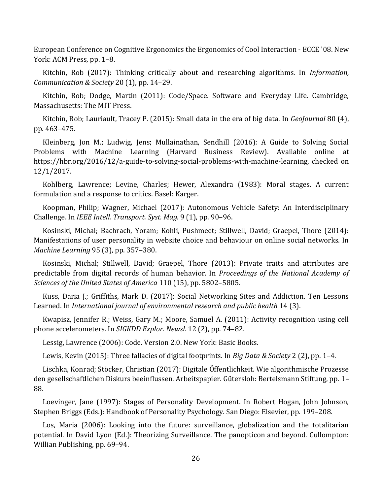European Conference on Cognitive Ergonomics the Ergonomics of Cool Interaction - ECCE '08. New York: ACM Press, pp. 1–8.

Kitchin, Rob (2017): Thinking critically about and researching algorithms. In *Information, Communication & Society* 20 (1), pp. 14–29.

Kitchin, Rob; Dodge, Martin (2011): Code/Space. Software and Everyday Life. Cambridge, Massachusetts: The MIT Press.

Kitchin, Rob; Lauriault, Tracey P. (2015): Small data in the era of big data. In *GeoJournal* 80 (4), pp. 463–475.

Kleinberg, Jon M.; Ludwig, Jens; Mullainathan, Sendhill (2016): A Guide to Solving Social Problems with Machine Learning (Harvard Business Review). Available online at https://hbr.org/2016/12/a-guide-to-solving-social-problems-with-machine-learning, checked on 12/1/2017.

Kohlberg, Lawrence; Levine, Charles; Hewer, Alexandra (1983): Moral stages. A current formulation and a response to critics. Basel: Karger.

Koopman, Philip; Wagner, Michael (2017): Autonomous Vehicle Safety: An Interdisciplinary Challenge. In *IEEE Intell. Transport. Syst. Mag.* 9 (1), pp. 90–96.

Kosinski, Michal; Bachrach, Yoram; Kohli, Pushmeet; Stillwell, David; Graepel, Thore (2014): Manifestations of user personality in website choice and behaviour on online social networks. In *Machine Learning* 95 (3), pp. 357–380.

Kosinski, Michal; Stillwell, David; Graepel, Thore (2013): Private traits and attributes are predictable from digital records of human behavior. In *Proceedings of the National Academy of Sciences of the United States of America* 110 (15), pp. 5802–5805.

Kuss, Daria J.; Griffiths, Mark D. (2017): Social Networking Sites and Addiction. Ten Lessons Learned. In *International journal of environmental research and public health* 14 (3).

Kwapisz, Jennifer R.; Weiss, Gary M.; Moore, Samuel A. (2011): Activity recognition using cell phone accelerometers. In *SIGKDD Explor. Newsl.* 12 (2), pp. 74–82.

Lessig, Lawrence (2006): Code. Version 2.0. New York: Basic Books.

Lewis, Kevin (2015): Three fallacies of digital footprints. In *Big Data & Society* 2 (2), pp. 1–4.

Lischka, Konrad; Stöcker, Christian (2017): Digitale Öffentlichkeit. Wie algorithmische Prozesse den gesellschaftlichen Diskurs beeinflussen. Arbeitspapier. Gütersloh: Bertelsmann Stiftung, pp. 1– 88.

Loevinger, Jane (1997): Stages of Personality Development. In Robert Hogan, John Johnson, Stephen Briggs (Eds.): Handbook of Personality Psychology. San Diego: Elsevier, pp. 199–208.

Los, Maria (2006): Looking into the future: surveillance, globalization and the totalitarian potential. In David Lyon (Ed.): Theorizing Surveillance. The panopticon and beyond. Cullompton: Willian Publishing, pp. 69–94.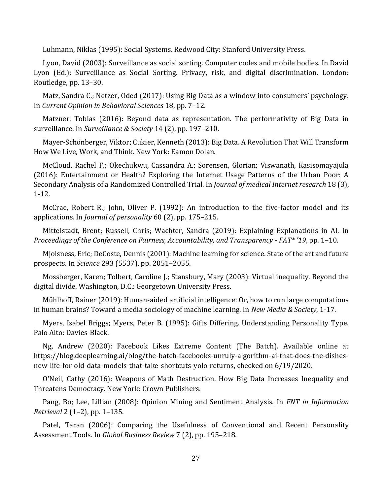Luhmann, Niklas (1995): Social Systems. Redwood City: Stanford University Press.

Lyon, David (2003): Surveillance as social sorting. Computer codes and mobile bodies. In David Lyon (Ed.): Surveillance as Social Sorting. Privacy, risk, and digital discrimination. London: Routledge, pp. 13–30.

Matz, Sandra C.; Netzer, Oded (2017): Using Big Data as a window into consumers' psychology. In *Current Opinion in Behavioral Sciences* 18, pp. 7–12.

Matzner, Tobias (2016): Beyond data as representation. The performativity of Big Data in surveillance. In *Surveillance & Society* 14 (2), pp. 197–210.

Mayer-Schönberger, Viktor; Cukier, Kenneth (2013): Big Data. A Revolution That Will Transform How We Live, Work, and Think. New York: Eamon Dolan.

McCloud, Rachel F.; Okechukwu, Cassandra A.; Sorensen, Glorian; Viswanath, Kasisomayajula (2016): Entertainment or Health? Exploring the Internet Usage Patterns of the Urban Poor: A Secondary Analysis of a Randomized Controlled Trial. In *Journal of medical Internet research* 18 (3), 1-12.

McCrae, Robert R.; John, Oliver P. (1992): An introduction to the five-factor model and its applications. In *Journal of personality* 60 (2), pp. 175–215.

Mittelstadt, Brent; Russell, Chris; Wachter, Sandra (2019): Explaining Explanations in AI. In *Proceedings of the Conference on Fairness, Accountability, and Transparency - FAT\* '19*, pp. 1–10.

Mjolsness, Eric; DeCoste, Dennis (2001): Machine learning for science. State of the art and future prospects. In *Science* 293 (5537), pp. 2051–2055.

Mossberger, Karen; Tolbert, Caroline J.; Stansbury, Mary (2003): Virtual inequality. Beyond the digital divide. Washington, D.C.: Georgetown University Press.

Mühlhoff, Rainer (2019): Human-aided artificial intelligence: Or, how to run large computations in human brains? Toward a media sociology of machine learning. In *New Media & Society*, 1-17.

Myers, Isabel Briggs; Myers, Peter B. (1995): Gifts Differing. Understanding Personality Type. Palo Alto: Davies-Black.

Ng, Andrew (2020): Facebook Likes Extreme Content (The Batch). Available online at https://blog.deeplearning.ai/blog/the-batch-facebooks-unruly-algorithm-ai-that-does-the-dishesnew-life-for-old-data-models-that-take-shortcuts-yolo-returns, checked on 6/19/2020.

O'Neil, Cathy (2016): Weapons of Math Destruction. How Big Data Increases Inequality and Threatens Democracy. New York: Crown Publishers.

Pang, Bo; Lee, Lillian (2008): Opinion Mining and Sentiment Analysis. In *FNT in Information Retrieval* 2 (1–2), pp. 1–135.

Patel, Taran (2006): Comparing the Usefulness of Conventional and Recent Personality Assessment Tools. In *Global Business Review* 7 (2), pp. 195–218.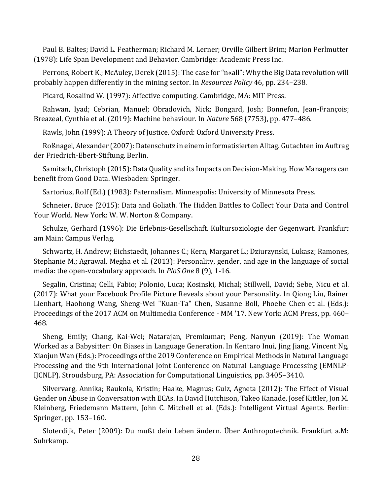Paul B. Baltes; David L. Featherman; Richard M. Lerner; Orville Gilbert Brim; Marion Perlmutter (1978): Life Span Development and Behavior. Cambridge: Academic Press Inc.

Perrons, Robert K.; McAuley, Derek (2015): The case for "n«all": Why the Big Data revolution will probably happen differently in the mining sector. In *Resources Policy* 46, pp. 234–238.

Picard, Rosalind W. (1997): Affective computing. Cambridge, MA: MIT Press.

Rahwan, Iyad; Cebrian, Manuel; Obradovich, Nick; Bongard, Josh; Bonnefon, Jean-François; Breazeal, Cynthia et al. (2019): Machine behaviour. In *Nature* 568 (7753), pp. 477–486.

Rawls, John (1999): A Theory of Justice. Oxford: Oxford University Press.

Roßnagel, Alexander (2007): Datenschutz in einem informatisierten Alltag. Gutachten im Auftrag der Friedrich-Ebert-Stiftung. Berlin.

Samitsch, Christoph (2015): Data Quality and its Impacts on Decision-Making. How Managers can benefit from Good Data. Wiesbaden: Springer.

Sartorius, Rolf (Ed.) (1983): Paternalism. Minneapolis: University of Minnesota Press.

Schneier, Bruce (2015): Data and Goliath. The Hidden Battles to Collect Your Data and Control Your World. New York: W. W. Norton & Company.

Schulze, Gerhard (1996): Die Erlebnis-Gesellschaft. Kultursoziologie der Gegenwart. Frankfurt am Main: Campus Verlag.

Schwartz, H. Andrew; Eichstaedt, Johannes C.; Kern, Margaret L.; Dziurzynski, Lukasz; Ramones, Stephanie M.; Agrawal, Megha et al. (2013): Personality, gender, and age in the language of social media: the open-vocabulary approach. In *PloS One* 8 (9), 1-16.

Segalin, Cristina; Celli, Fabio; Polonio, Luca; Kosinski, Michal; Stillwell, David; Sebe, Nicu et al. (2017): What your Facebook Profile Picture Reveals about your Personality. In Qiong Liu, Rainer Lienhart, Haohong Wang, Sheng-Wei "Kuan-Ta" Chen, Susanne Boll, Phoebe Chen et al. (Eds.): Proceedings of the 2017 ACM on Multimedia Conference - MM '17. New York: ACM Press, pp. 460– 468.

Sheng, Emily; Chang, Kai-Wei; Natarajan, Premkumar; Peng, Nanyun (2019): The Woman Worked as a Babysitter: On Biases in Language Generation. In Kentaro Inui, Jing Jiang, Vincent Ng, Xiaojun Wan (Eds.): Proceedings of the 2019 Conference on Empirical Methods in Natural Language Processing and the 9th International Joint Conference on Natural Language Processing (EMNLP-IJCNLP). Stroudsburg, PA: Association for Computational Linguistics, pp. 3405–3410.

Silvervarg, Annika; Raukola, Kristin; Haake, Magnus; Gulz, Agneta (2012): The Effect of Visual Gender on Abuse in Conversation with ECAs. In David Hutchison, Takeo Kanade, Josef Kittler, Jon M. Kleinberg, Friedemann Mattern, John C. Mitchell et al. (Eds.): Intelligent Virtual Agents. Berlin: Springer, pp. 153–160.

Sloterdijk, Peter (2009): Du mußt dein Leben ändern. Über Anthropotechnik. Frankfurt a.M: Suhrkamp.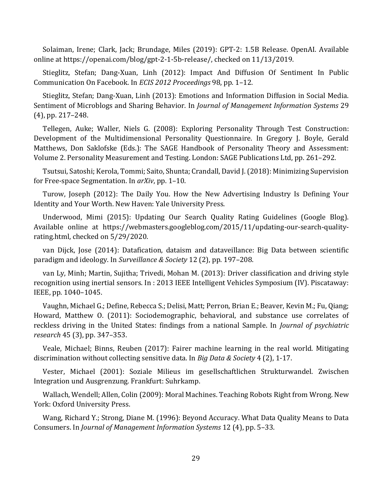Solaiman, Irene; Clark, Jack; Brundage, Miles (2019): GPT-2: 1.5B Release. OpenAI. Available online at https://openai.com/blog/gpt-2-1-5b-release/, checked on 11/13/2019.

Stieglitz, Stefan; Dang-Xuan, Linh (2012): Impact And Diffusion Of Sentiment In Public Communication On Facebook. In *ECIS 2012 Proceedings* 98, pp. 1–12.

Stieglitz, Stefan; Dang-Xuan, Linh (2013): Emotions and Information Diffusion in Social Media. Sentiment of Microblogs and Sharing Behavior. In *Journal of Management Information Systems* 29 (4), pp. 217–248.

Tellegen, Auke; Waller, Niels G. (2008): Exploring Personality Through Test Construction: Development of the Multidimensional Personality Questionnaire. In Gregory J. Boyle, Gerald Matthews, Don Saklofske (Eds.): The SAGE Handbook of Personality Theory and Assessment: Volume 2. Personality Measurement and Testing. London: SAGE Publications Ltd, pp. 261–292.

Tsutsui, Satoshi; Kerola, Tommi; Saito, Shunta; Crandall, David J. (2018): Minimizing Supervision for Free-space Segmentation. In *arXiv*, pp. 1–10.

Turow, Joseph (2012): The Daily You. How the New Advertising Industry Is Defining Your Identity and Your Worth. New Haven: Yale University Press.

Underwood, Mimi (2015): Updating Our Search Quality Rating Guidelines (Google Blog). Available online at https://webmasters.googleblog.com/2015/11/updating-our-search-qualityrating.html, checked on 5/29/2020.

van Dijck, Jose (2014): Datafication, dataism and dataveillance: Big Data between scientific paradigm and ideology. In *Surveillance & Society* 12 (2), pp. 197–208.

van Ly, Minh; Martin, Sujitha; Trivedi, Mohan M. (2013): Driver classification and driving style recognition using inertial sensors. In : 2013 IEEE Intelligent Vehicles Symposium (IV). Piscataway: IEEE, pp. 1040–1045.

Vaughn, Michael G.; Define, Rebecca S.; Delisi, Matt; Perron, Brian E.; Beaver, Kevin M.; Fu, Qiang; Howard, Matthew O. (2011): Sociodemographic, behavioral, and substance use correlates of reckless driving in the United States: findings from a national Sample. In *Journal of psychiatric research* 45 (3), pp. 347–353.

Veale, Michael; Binns, Reuben (2017): Fairer machine learning in the real world. Mitigating discrimination without collecting sensitive data. In *Big Data & Society* 4 (2), 1-17.

Vester, Michael (2001): Soziale Milieus im gesellschaftlichen Strukturwandel. Zwischen Integration und Ausgrenzung. Frankfurt: Suhrkamp.

Wallach, Wendell; Allen, Colin (2009): Moral Machines. Teaching Robots Right from Wrong. New York: Oxford University Press.

Wang, Richard Y.; Strong, Diane M. (1996): Beyond Accuracy. What Data Quality Means to Data Consumers. In *Journal of Management Information Systems* 12 (4), pp. 5–33.